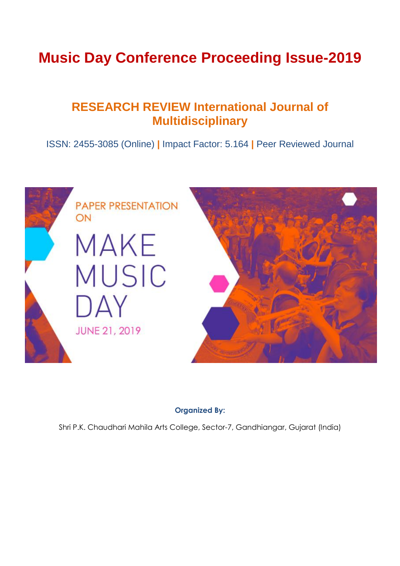# **Music Day Conference Proceeding Issue-2019**

# **RESEARCH REVIEW International Journal of Multidisciplinary**

ISSN: 2455-3085 (Online) **|** Impact Factor: 5.164 **|** Peer Reviewed Journal



### **Organized By:**

Shri P.K. Chaudhari Mahila Arts College, Sector-7, Gandhiangar, Gujarat (India)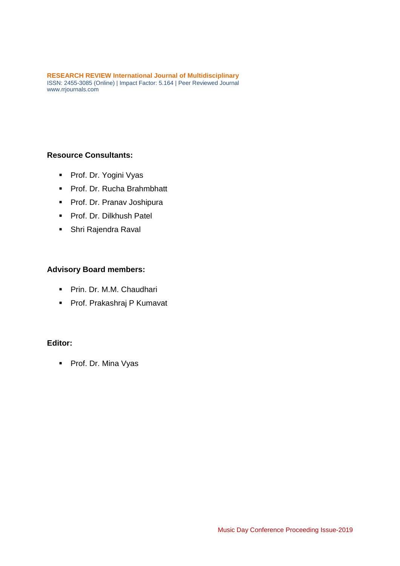**RESEARCH REVIEW International Journal of Multidisciplinary**  ISSN: 2455-3085 (Online) | Impact Factor: 5.164 | Peer Reviewed Journal www.rrjournals.com

### **Resource Consultants:**

- **Prof. Dr. Yogini Vyas**
- **Prof. Dr. Rucha Brahmbhatt**
- **Prof. Dr. Pranav Joshipura**
- **Prof. Dr. Dilkhush Patel**
- **Shri Rajendra Raval**

### **Advisory Board members:**

- **Prin. Dr. M.M. Chaudhari**
- Prof. Prakashraj P Kumavat

### **Editor:**

**Prof. Dr. Mina Vyas**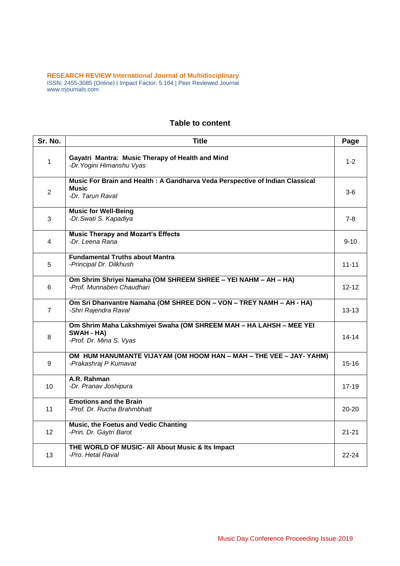#### **RESEARCH REVIEW International Journal of Multidisciplinary**  ISSN: 2455-3085 (Online) | Impact Factor: 5.164 | Peer Reviewed Journal www.rrjournals.com

### **Table to content**

| Sr. No.        | <b>Title</b>                                                                                                     | Page      |
|----------------|------------------------------------------------------------------------------------------------------------------|-----------|
| 1              | Gayatri Mantra: Music Therapy of Health and Mind<br>-Dr. Yogini Himanshu Vyas                                    | $1 - 2$   |
| $\overline{2}$ | Music For Brain and Health: A Gandharva Veda Perspective of Indian Classical<br><b>Music</b><br>-Dr. Tarun Raval | $3-6$     |
| 3              | <b>Music for Well-Being</b><br>-Dr. Swati S. Kapadiya                                                            | $7-8$     |
| 4              | <b>Music Therapy and Mozart's Effects</b><br>-Dr. Leena Rana                                                     | $9 - 10$  |
| 5              | <b>Fundamental Truths about Mantra</b><br>-Principal Dr. Dilkhush                                                | $11 - 11$ |
| 6              | Om Shrim Shriyei Namaha (OM SHREEM SHREE - YEI NAHM - AH - HA)<br>-Prof. Munnaben Chaudhari                      | $12 - 12$ |
| $\overline{7}$ | Om Sri Dhanvantre Namaha (OM SHREE DON - VON - TREY NAMH - AH - HA)<br>-Shri Rajendra Raval                      | $13 - 13$ |
| 8              | Om Shrim Maha Lakshmiyei Swaha (OM SHREEM MAH - HA LAHSH - MEE YEI<br>SWAH - HA)<br>-Prof. Dr. Mina S. Vyas      | $14 - 14$ |
| 9              | OM HUM HANUMANTE VIJAYAM (OM HOOM HAN - MAH - THE VEE - JAY-YAHM)<br>-Prakashraj P Kumavat                       | $15 - 16$ |
| 10             | A.R. Rahman<br>-Dr. Pranav Joshipura                                                                             | $17 - 19$ |
| 11             | <b>Emotions and the Brain</b><br>-Prof. Dr. Rucha Brahmbhatt                                                     | $20 - 20$ |
| 12             | Music, the Foetus and Vedic Chanting<br>-Prin. Dr. Gaytri Barot                                                  | $21 - 21$ |
| 13             | THE WORLD OF MUSIC- All About Music & Its Impact<br>-Pro. Hetal Raval                                            | $22 - 24$ |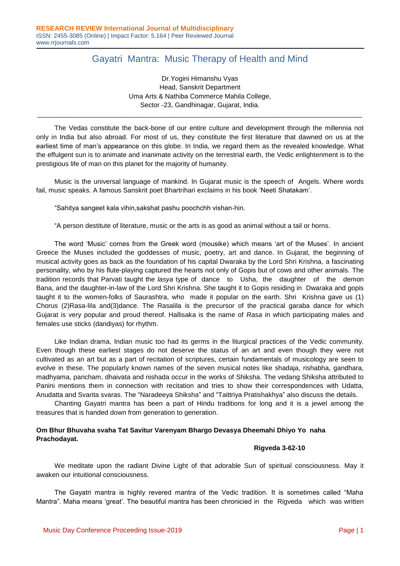### Gayatri Mantra: Music Therapy of Health and Mind

Dr.Yogini Himanshu Vyas Head, Sanskrit Department Uma Arts & Nathiba Commerce Mahila College, Sector -23, Gandhinagar, Gujarat, India.

\_\_\_\_\_\_\_\_\_\_\_\_\_\_\_\_\_\_\_\_\_\_\_\_\_\_\_\_\_\_\_\_\_\_\_\_\_\_\_\_\_\_\_\_\_\_\_\_\_\_\_\_\_\_\_\_\_\_\_\_\_\_\_\_\_\_\_\_\_\_\_\_\_\_\_\_\_\_\_\_\_\_\_\_\_\_\_

The Vedas constitute the back-bone of our entire culture and development through the millennia not only in India but also abroad. For most of us, they constitute the first literature that dawned on us at the earliest time of man"s appearance on this globe. In India, we regard them as the revealed knowledge. What the effulgent sun is to animate and inanimate activity on the terrestrial earth, the Vedic enlightenment is to the prestigious life of man on this planet for the majority of humanity.

Music is the universal language of mankind. In Gujarat music is the speech of Angels. Where words fail, music speaks. A famous Sanskrit poet Bhartrihari exclaims in his book "Neeti Shatakam".

"Sahitya sangeet kala vihin,sakshat pashu poochchh vishan-hin.

"A person destitute of literature, music or the arts is as good as animal without a tail or horns.

The word "Music" comes from the Greek word (mousike) which means "art of the Muses". In ancient Greece the Muses included the goddesses of music, poetry, art and dance. In Gujarat, the beginning of musical activity goes as back as the foundation of his capital Dwaraka by the Lord Shri Krishna, a fascinating personality, who by his flute-playing captured the hearts not only of Gopis but of cows and other animals. The tradition records that Parvati taught the *lasya* type of dance to Usha, the daughter of the demon Bana, and the daughter-in-law of the Lord Shri Krishna. She taught it to Gopis residing in Dwaraka and gopis taught it to the women-folks of Saurashtra, who made it popular on the earth. Shri Krishna gave us (1) Chorus (2)Rasa-lila and(3)dance. The Rasalila is the precursor of the practical garaba dance for which Gujarat is very popular and proud thereof. Hallisaka is the name of *Rasa* in which participating males and females use sticks (dandiyas) for rhythm.

Like Indian drama, Indian music too had its germs in the liturgical practices of the Vedic community. Even though these earliest stages do not deserve the status of an art and even though they were not cultivated as an art but as a part of recitation of scriptures, certain fundamentals of musicology are seen to evolve in these. The popularly known names of the seven musical notes like shadaja, rishabha, gandhara, madhyama, pancham, dhaivata and nishada occur in the works of Shiksha. The vedang Shiksha attributed to Panini mentions them in connection with recitation and tries to show their correspondences with Udatta, Anudatta and Svarita svaras. The "Naradeeya Shiksha" and "Taittriya Pratishakhya" also discuss the details.

Chanting Gayatri mantra has been a part of Hindu traditions for long and it is a jewel among the treasures that is handed down from generation to generation.

#### **Om Bhur Bhuvaha svaha Tat Savitur Varenyam Bhargo Devasya Dheemahi Dhiyo Yo naha Prachodayat.**

#### **Rigveda 3-62-10**

We meditate upon the radiant Divine Light of that adorable Sun of spiritual consciousness. May it awaken our intuitional consciousness.

The Gayatri mantra is highly revered mantra of the Vedic tradition. It is sometimes called "Maha Mantra". Maha means "great". The beautiful mantra has been chronicied in the Rigveda which was written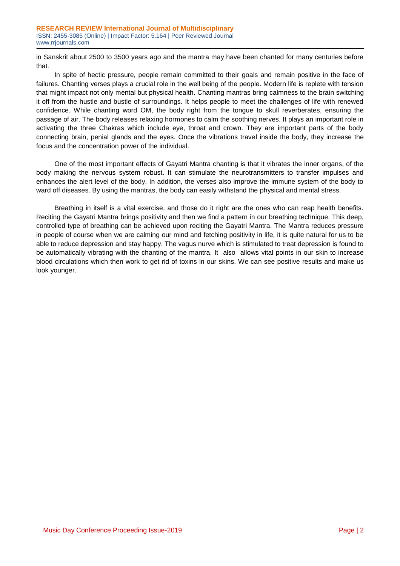in Sanskrit about 2500 to 3500 years ago and the mantra may have been chanted for many centuries before that.

In spite of hectic pressure, people remain committed to their goals and remain positive in the face of failures. Chanting verses plays a crucial role in the well being of the people. Modern life is replete with tension that might impact not only mental but physical health. Chanting mantras bring calmness to the brain switching it off from the hustle and bustle of surroundings. It helps people to meet the challenges of life with renewed confidence. While chanting word OM, the body right from the tongue to skull reverberates, ensuring the passage of air. The body releases relaxing hormones to calm the soothing nerves. It plays an important role in activating the three Chakras which include eye, throat and crown. They are important parts of the body connecting brain, penial glands and the eyes. Once the vibrations travel inside the body, they increase the focus and the concentration power of the individual.

One of the most important effects of Gayatri Mantra chanting is that it vibrates the inner organs, of the body making the nervous system robust. It can stimulate the neurotransmitters to transfer impulses and enhances the alert level of the body. In addition, the verses also improve the immune system of the body to ward off diseases. By using the mantras, the body can easily withstand the physical and mental stress.

Breathing in itself is a vital exercise, and those do it right are the ones who can reap health benefits. Reciting the Gayatri Mantra brings positivity and then we find a pattern in our breathing technique. This deep, controlled type of breathing can be achieved upon reciting the Gayatri Mantra. The Mantra reduces pressure in people of course when we are calming our mind and fetching positivity in life, it is quite natural for us to be able to reduce depression and stay happy. The vagus nurve which is stimulated to treat depression is found to be automatically vibrating with the chanting of the mantra. It also allows vital points in our skin to increase blood circulations which then work to get rid of toxins in our skins. We can see positive results and make us look younger.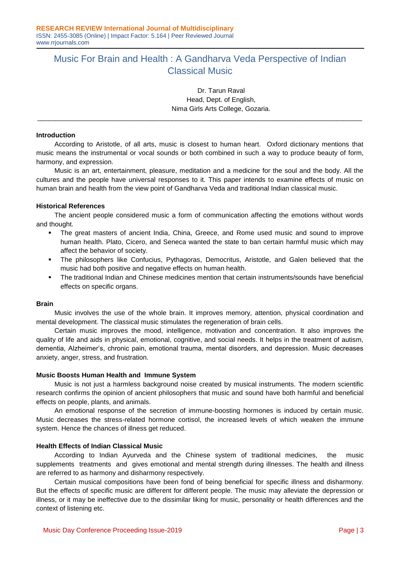# Music For Brain and Health : A Gandharva Veda Perspective of Indian Classical Music

Dr. Tarun Raval Head, Dept. of English, Nima Girls Arts College, Gozaria.

#### **Introduction**

According to Aristotle, of all arts, music is closest to human heart. Oxford dictionary mentions that music means the instrumental or vocal sounds or both combined in such a way to produce beauty of form, harmony, and expression.

\_\_\_\_\_\_\_\_\_\_\_\_\_\_\_\_\_\_\_\_\_\_\_\_\_\_\_\_\_\_\_\_\_\_\_\_\_\_\_\_\_\_\_\_\_\_\_\_\_\_\_\_\_\_\_\_\_\_\_\_\_\_\_\_\_\_\_\_\_\_\_\_\_\_\_\_\_\_\_\_\_\_\_\_\_\_\_

Music is an art, entertainment, pleasure, meditation and a medicine for the soul and the body. All the cultures and the people have universal responses to it. This paper intends to examine effects of music on human brain and health from the view point of Gandharva Veda and traditional Indian classical music.

#### **Historical References**

The ancient people considered music a form of communication affecting the emotions without words and thought.

- The great masters of ancient India, China, Greece, and Rome used music and sound to improve human health. Plato, Cicero, and Seneca wanted the state to ban certain harmful music which may affect the behavior of society.
- The philosophers like Confucius, Pythagoras, Democritus, Aristotle, and Galen believed that the music had both positive and negative effects on human health.
- The traditional Indian and Chinese medicines mention that certain instruments/sounds have beneficial effects on specific organs.

#### **Brain**

Music involves the use of the whole brain. It improves memory, attention, physical coordination and mental development. The classical music stimulates the regeneration of brain cells.

Certain music improves the mood, intelligence, motivation and concentration. It also improves the quality of life and aids in physical, emotional, cognitive, and social needs. It helps in the treatment of autism, dementia, Alzheimer"s, chronic pain, emotional trauma, mental disorders, and depression. Music decreases anxiety, anger, stress, and frustration.

#### **Music Boosts Human Health and Immune System**

Music is not just a harmless background noise created by musical instruments. The modern scientific research confirms the opinion of ancient philosophers that music and sound have both harmful and beneficial effects on people, plants, and animals.

An emotional response of the secretion of immune-boosting hormones is induced by certain music. Music decreases the stress-related hormone cortisol, the increased levels of which weaken the immune system. Hence the chances of illness get reduced.

#### **Health Effects of Indian Classical Music**

According to Indian Ayurveda and the Chinese system of traditional medicines, the music supplements treatments and gives emotional and mental strength during illnesses. The health and illness are referred to as harmony and disharmony respectively.

Certain musical compositions have been fond of being beneficial for specific illness and disharmony. But the effects of specific music are different for different people. The music may alleviate the depression or illness, or it may be ineffective due to the dissimilar liking for music, personality or health differences and the context of listening etc.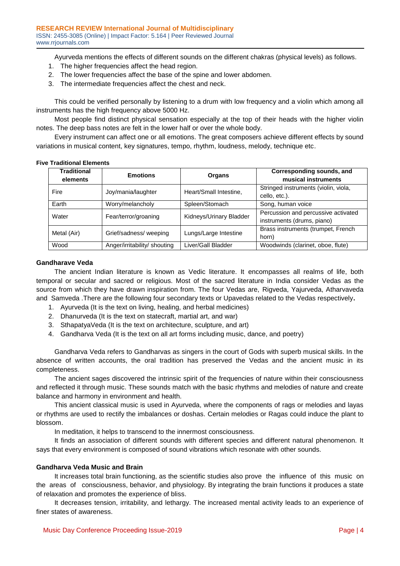Ayurveda mentions the effects of different sounds on the different chakras (physical levels) as follows.

- 1. The higher frequencies affect the head region.
- 2. The lower frequencies affect the base of the spine and lower abdomen.
- 3. The intermediate frequencies affect the chest and neck.

This could be verified personally by listening to a drum with low frequency and a violin which among all instruments has the high frequency above 5000 Hz.

Most people find distinct physical sensation especially at the top of their heads with the higher violin notes. The deep bass notes are felt in the lower half or over the whole body.

Every instrument can affect one or all emotions. The great composers achieve different effects by sound variations in musical content, key signatures, tempo, rhythm, loudness, melody, technique etc.

#### **Five Traditional Elements**

| Traditional<br>elements | <b>Emotions</b>              | <b>Organs</b>           | <b>Corresponding sounds, and</b><br>musical instruments           |
|-------------------------|------------------------------|-------------------------|-------------------------------------------------------------------|
| Fire                    | Joy/mania/laughter           | Heart/Small Intestine,  | Stringed instruments (violin, viola,<br>cello, etc.).             |
| Earth                   | Worry/melancholy             | Spleen/Stomach          | Song, human voice                                                 |
| Water                   | Fear/terror/groaning         | Kidneys/Urinary Bladder | Percussion and percussive activated<br>instruments (drums, piano) |
| Metal (Air)             | Grief/sadness/ weeping       | Lungs/Large Intestine   | Brass instruments (trumpet, French<br>horn)                       |
| Wood                    | Anger/irritability/ shouting | Liver/Gall Bladder      | Woodwinds (clarinet, oboe, flute)                                 |

#### **Gandharave Veda**

The ancient Indian literature is known as Vedic literature. It encompasses all realms of life, both temporal or secular and sacred or religious. Most of the sacred literature in India consider Vedas as the source from which they have drawn inspiration from. The four Vedas are, Rigveda, Yajurveda, Atharvaveda and Samveda .There are the following four secondary texts or Upavedas related to the Vedas respectively**.**

- 1. Ayurveda (It is the text on living, healing, and herbal medicines)
- 2. Dhanurveda (It is the text on statecraft, martial art, and war)
- 3. SthapatyaVeda (It is the text on architecture, sculpture, and art)
- 4. Gandharva Veda (It is the text on all art forms including music, dance, and poetry)

Gandharva Veda refers to Gandharvas as singers in the court of Gods with superb musical skills. In the absence of written accounts, the oral tradition has preserved the Vedas and the ancient music in its completeness.

The ancient sages discovered the intrinsic spirit of the frequencies of nature within their consciousness and reflected it through music. These sounds match with the basic rhythms and melodies of nature and create balance and harmony in environment and health.

This ancient classical music is used in Ayurveda, where the components of rags or melodies and layas or rhythms are used to rectify the imbalances or doshas*.* Certain melodies or Ragas could induce the plant to blossom.

In meditation, it helps to transcend to the innermost consciousness.

It finds an association of different sounds with different species and different natural phenomenon. It says that every environment is composed of sound vibrations which resonate with other sounds.

#### **Gandharva Veda Music and Brain**

It increases total brain functioning, as the scientific studies also prove the influence of this music on the areas of consciousness, behavior, and physiology. By integrating the brain functions it produces a state of relaxation and promotes the experience of bliss.

It decreases tension, irritability, and lethargy. The increased mental activity leads to an experience of finer states of awareness.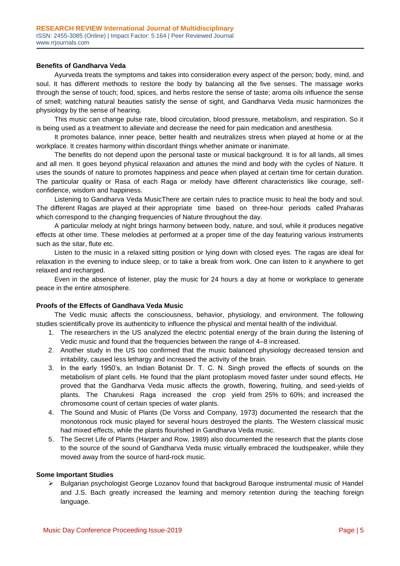#### **Benefits of Gandharva Veda**

Ayurveda treats the symptoms and takes into consideration every aspect of the person; body, mind, and soul. It has different methods to restore the body by balancing all the five senses. The massage works through the sense of touch; food, spices, and herbs restore the sense of taste; aroma oils influence the sense of smell; watching natural beauties satisfy the sense of sight, and Gandharva Veda music harmonizes the physiology by the sense of hearing.

This music can change pulse rate, blood circulation, blood pressure, metabolism, and respiration. So it is being used as a treatment to alleviate and decrease the need for pain medication and anesthesia.

It promotes balance, inner peace, better health and neutralizes stress when played at home or at the workplace. It creates harmony within discordant things whether animate or inanimate.

The benefits do not depend upon the personal taste or musical background. It is for all lands, all times and all men. It goes beyond physical relaxation and attunes the mind and body with the cycles of Nature. It uses the sounds of nature to promotes happiness and peace when played at certain time for certain duration. The particular quality or Rasa of each Raga or melody have different characteristics like courage, selfconfidence, wisdom and happiness.

Listening to Gandharva Veda MusicThere are certain rules to practice music to heal the body and soul. The different Ragas are played at their appropriate time based on three-hour periods called Praharas which correspond to the changing frequencies of Nature throughout the day.

A particular melody at night brings harmony between body, nature, and soul, while it produces negative effects at other time. These melodies at performed at a proper time of the day featuring various instruments such as the sitar, flute etc.

Listen to the music in a relaxed sitting position or lying down with closed eyes. The ragas are ideal for relaxation in the evening to induce sleep, or to take a break from work. One can listen to it anywhere to get relaxed and recharged.

Even in the absence of listener, play the music for 24 hours a day at home or workplace to generate peace in the entire atmosphere.

#### **Proofs of the Effects of Gandhava Veda Music**

The Vedic music affects the consciousness, behavior, physiology, and environment. The following studies scientifically prove its authenticity to influence the physical and mental health of the individual.

- 1. The researchers in the US analyzed the electric potential energy of the brain during the listening of Vedic music and found that the frequencies between the range of 4–8 increased.
- 2. Another study in the US too confirmed that the music balanced physiology decreased tension and irritability, caused less lethargy and increased the activity of the brain.
- 3. In the early 1950"s, an Indian Botanist Dr. T. C. N. Singh proved the effects of sounds on the metabolism of plant cells. He found that the plant protoplasm moved faster under sound effects. He proved that the Gandharva Veda music affects the growth, flowering, fruiting, and seed-yields of plants. The Charukesi Raga increased the crop yield from 25% to 60%; and increased the chromosome count of certain species of water plants.
- 4. The Sound and Music of Plants (De Vorss and Company, 1973) documented the research that the monotonous rock music played for several hours destroyed the plants. The Western classical music had mixed effects, while the plants flourished in Gandharva Veda music.
- 5. The Secret Life of Plants (Harper and Row, 1989) also documented the research that the plants close to the source of the sound of Gandharva Veda music virtually embraced the loudspeaker, while they moved away from the source of hard-rock music.

#### **Some Important Studies**

 $\triangleright$  Bulgarian psychologist George Lozanov found that backgroud Baroque instrumental music of Handel and J.S. Bach greatly increased the learning and memory retention during the teaching foreign language.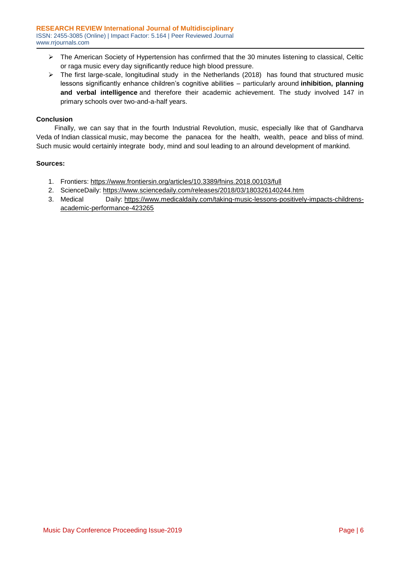- $\triangleright$  The American Society of Hypertension has confirmed that the 30 minutes listening to classical, Celtic or raga music every day significantly reduce high blood pressure.
- $\triangleright$  The first large-scale, longitudinal study in the Netherlands (2018) has found that structured music lessons significantly enhance children's cognitive abilities - particularly around *inhibition*, planning **and verbal intelligence** and therefore their academic achievement. The study involved 147 in primary schools over two-and-a-half years.

#### **Conclusion**

Finally, we can say that in the fourth Industrial Revolution, music, especially like that of Gandharva Veda of Indian classical music, may become the panacea for the health, wealth, peace and bliss of mind. Such music would certainly integrate body, mind and soul leading to an alround development of mankind.

#### **Sources:**

- 1. Frontiers: https://www.frontiersin.org/articles/10.3389/fnins.2018.00103/full
- 2. ScienceDaily: https://www.sciencedaily.com/releases/2018/03/180326140244.htm
- 3. Medical Daily: https://www.medicaldaily.com/taking-music-lessons-positively-impacts-childrensacademic-performance-423265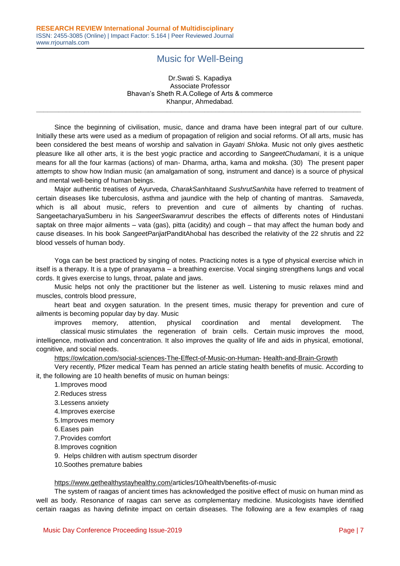# Music for Well-Being

Dr.Swati S. Kapadiya Associate Professor Bhavan"s Sheth R.A.College of Arts & commerce Khanpur, Ahmedabad.

**\_\_\_\_\_\_\_\_\_\_\_\_\_\_\_\_\_\_\_\_\_\_\_\_\_\_\_\_\_\_\_\_\_\_\_\_\_\_\_\_\_\_\_\_\_\_\_\_\_\_\_\_\_\_\_\_\_\_\_\_\_\_\_\_\_\_\_\_\_\_\_\_\_\_\_\_\_\_\_\_\_\_\_\_\_\_\_**

Since the beginning of civilisation, music, dance and drama have been integral part of our culture. Initially these arts were used as a medium of propagation of religion and social reforms. Of all arts, music has been considered the best means of worship and salvation in *Gayatri Shloka*. Music not only gives aesthetic pleasure like all other arts, it is the best yogic practice and according to *SangeetChudamani*, it is a unique means for all the four karmas (actions) of man- Dharma, artha, kama and moksha. (30) The present paper attempts to show how Indian music (an amalgamation of song, instrument and dance) is a source of physical and mental well-being of human beings.

Major authentic treatises of Ayurveda, *CharakSanhita*and *SushrutSanhita* have referred to treatment of certain diseases like tuberculosis, asthma and jaundice with the help of chanting of mantras. *Samaveda*, which is all about music, refers to prevention and cure of ailments by chanting of ruchas. SangeetacharyaSumberu in his *SangeetSwaramrut* describes the effects of differents notes of Hindustani saptak on three major ailments – vata (gas), pitta (acidity) and cough – that may affect the human body and cause diseases. In his book *SangeetParijat*PanditAhobal has described the relativity of the 22 shrutis and 22 blood vessels of human body.

Yoga can be best practiced by singing of notes. Practicing notes is a type of physical exercise which in itself is a therapy. It is a type of pranayama – a breathing exercise. Vocal singing strengthens lungs and vocal cords. It gives exercise to lungs, throat, palate and jaws.

Music helps not only the practitioner but the listener as well. Listening to music relaxes mind and muscles, controls blood pressure,

heart beat and oxygen saturation. In the present times, music therapy for prevention and cure of ailments is becoming popular day by day. Music

improves memory, attention, physical coordination and mental development. The classical music stimulates the regeneration of brain cells. Certain music improves the mood, intelligence, motivation and concentration. It also improves the quality of life and aids in physical, emotional, cognitive, and social needs.

https://owlcation.com/social-sciences-The-Effect-of-Music-on-Human- Health-and-Brain-Growth

Very recently, Pfizer medical Team has penned an article stating health benefits of music. According to it, the following are 10 health benefits of music on human beings:

- 1.Improves mood
- 2.Reduces stress
- 3.Lessens anxiety
- 4.Improves exercise
- 5.Improves memory
- 6.Eases pain

7.Provides comfort

- 8.Improves cognition
- 9. Helps children with autism spectrum disorder
- 10.Soothes premature babies

https://www.gethealthystayhealthy.com/articles/10/health/benefits-of-music

The system of raagas of ancient times has acknowledged the positive effect of music on human mind as well as body. Resonance of raagas can serve as complementary medicine. Musicologists have identified certain raagas as having definite impact on certain diseases. The following are a few examples of raag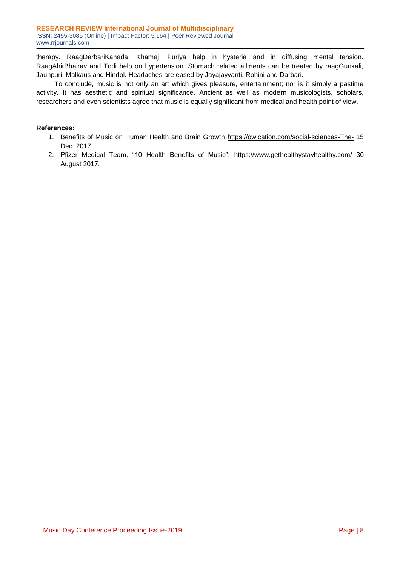therapy. RaagDarbariKanada, Khamaj, Puriya help in hysteria and in diffusing mental tension. RaagAhirBhairav and Todi help on hypertension. Stomach related ailments can be treated by raagGunkali, Jaunpuri, Malkaus and Hindol. Headaches are eased by Jayajayvanti, Rohini and Darbari.

To conclude, music is not only an art which gives pleasure, entertainment; nor is it simply a pastime activity. It has aesthetic and spiritual significance. Ancient as well as modern musicologists, scholars, researchers and even scientists agree that music is equally significant from medical and health point of view.

#### **References:**

- 1. Benefits of Music on Human Health and Brain Growth https://owlcation.com/social-sciences-The- 15 Dec. 2017.
- 2. Pfizer Medical Team. "10 Health Benefits of Music". https://www.gethealthystayhealthy.com/ 30 August 2017.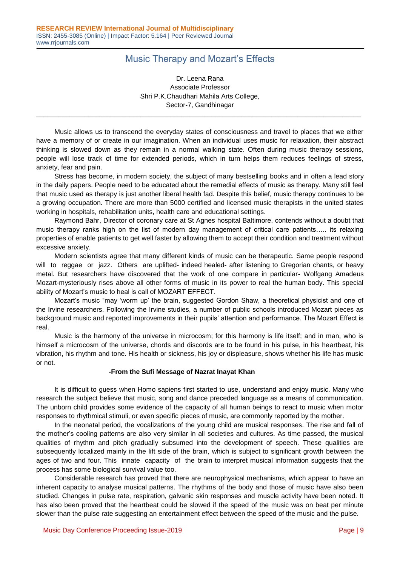### Music Therapy and Mozart"s Effects

Dr. Leena Rana Associate Professor Shri P.K.Chaudhari Mahila Arts College, Sector-7, Gandhinagar

**\_\_\_\_\_\_\_\_\_\_\_\_\_\_\_\_\_\_\_\_\_\_\_\_\_\_\_\_\_\_\_\_\_\_\_\_\_\_\_\_\_\_\_\_\_\_\_\_\_\_\_\_\_\_\_\_\_\_\_\_\_\_\_\_\_\_\_\_\_\_\_\_\_\_\_\_\_\_\_\_\_\_\_\_\_\_\_**

Music allows us to transcend the everyday states of consciousness and travel to places that we either have a memory of or create in our imagination. When an individual uses music for relaxation, their abstract thinking is slowed down as they remain in a normal walking state. Often during music therapy sessions, people will lose track of time for extended periods, which in turn helps them reduces feelings of stress, anxiety, fear and pain.

Stress has become, in modern society, the subject of many bestselling books and in often a lead story in the daily papers. People need to be educated about the remedial effects of music as therapy. Many still feel that music used as therapy is just another liberal health fad. Despite this belief, music therapy continues to be a growing occupation. There are more than 5000 certified and licensed music therapists in the united states working in hospitals, rehabilitation units, health care and educational settings.

Raymond Bahr, Director of coronary care at St Agnes hospital Baltimore, contends without a doubt that music therapy ranks high on the list of modern day management of critical care patients….. its relaxing properties of enable patients to get well faster by allowing them to accept their condition and treatment without excessive anxiety.

Modern scientists agree that many different kinds of music can be therapeutic. Same people respond will to reggae or jazz. Others are uplifted- indeed healed- after listening to Gregorian chants, or heavy metal. But researchers have discovered that the work of one compare in particular- Wolfgang Amadeus Mozart-mysteriously rises above all other forms of music in its power to real the human body. This special ability of Mozart"s music to heal is call of MOZART EFFECT.

Mozart"s music "may "worm up" the brain, suggested Gordon Shaw, a theoretical physicist and one of the Irvine researchers. Following the Irvine studies, a number of public schools introduced Mozart pieces as background music and reported improvements in their pupils" attention and performance. The Mozart Effect is real.

Music is the harmony of the universe in microcosm; for this harmony is life itself; and in man, who is himself a microcosm of the universe, chords and discords are to be found in his pulse, in his heartbeat, his vibration, his rhythm and tone. His health or sickness, his joy or displeasure, shows whether his life has music or not.

#### **-From the Sufi Message of Nazrat Inayat Khan**

It is difficult to guess when Homo sapiens first started to use, understand and enjoy music. Many who research the subject believe that music, song and dance preceded language as a means of communication. The unborn child provides some evidence of the capacity of all human beings to react to music when motor responses to rhythmical stimuli, or even specific pieces of music, are commonly reported by the mother.

In the neonatal period, the vocalizations of the young child are musical responses. The rise and fall of the mother"s cooling patterns are also very similar in all societies and cultures. As time passed, the musical qualities of rhythm and pitch gradually subsumed into the development of speech. These qualities are subsequently localized mainly in the lift side of the brain, which is subject to significant growth between the ages of two and four. This innate capacity of the brain to interpret musical information suggests that the process has some biological survival value too.

Considerable research has proved that there are neurophysical mechanisms, which appear to have an inherent capacity to analyse musical patterns. The rhythms of the body and those of music have also been studied. Changes in pulse rate, respiration, galvanic skin responses and muscle activity have been noted. It has also been proved that the heartbeat could be slowed if the speed of the music was on beat per minute slower than the pulse rate suggesting an entertainment effect between the speed of the music and the pulse.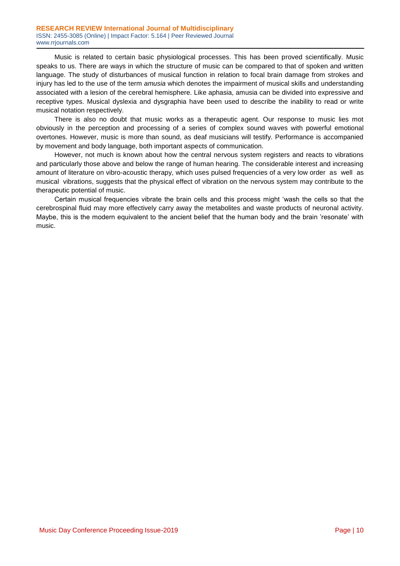Music is related to certain basic physiological processes. This has been proved scientifically. Music speaks to us. There are ways in which the structure of music can be compared to that of spoken and written language. The study of disturbances of musical function in relation to focal brain damage from strokes and injury has led to the use of the term *amusia* which denotes the impairment of musical skills and understanding associated with a lesion of the cerebral hemisphere. Like aphasia, amusia can be divided into expressive and receptive types. Musical dyslexia and dysgraphia have been used to describe the inability to read or write musical notation respectively.

There is also no doubt that music works as a therapeutic agent. Our response to music lies mot obviously in the perception and processing of a series of complex sound waves with powerful emotional overtones. However, music is more than sound, as deaf musicians will testify. Performance is accompanied by movement and body language, both important aspects of communication.

However, not much is known about how the central nervous system registers and reacts to vibrations and particularly those above and below the range of human hearing. The considerable interest and increasing amount of literature on vibro-acoustic therapy, which uses pulsed frequencies of a very low order as well as musical vibrations, suggests that the physical effect of vibration on the nervous system may contribute to the therapeutic potential of music.

Certain musical frequencies vibrate the brain cells and this process might "wash the cells so that the cerebrospinal fluid may more effectively carry away the metabolites and waste products of neuronal activity. Maybe, this is the modern equivalent to the ancient belief that the human body and the brain "resonate" with music.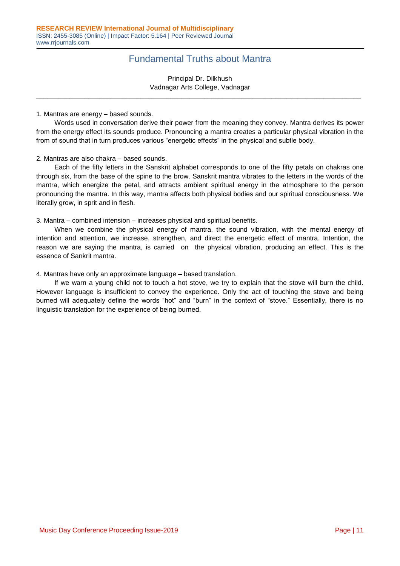### Fundamental Truths about Mantra

Principal Dr. Dilkhush Vadnagar Arts College, Vadnagar

**\_\_\_\_\_\_\_\_\_\_\_\_\_\_\_\_\_\_\_\_\_\_\_\_\_\_\_\_\_\_\_\_\_\_\_\_\_\_\_\_\_\_\_\_\_\_\_\_\_\_\_\_\_\_\_\_\_\_\_\_\_\_\_\_\_\_\_\_\_\_\_\_\_\_\_\_\_\_\_\_\_\_\_\_\_\_\_**

1. Mantras are energy – based sounds.

Words used in conversation derive their power from the meaning they convey. Mantra derives its power from the energy effect its sounds produce. Pronouncing a mantra creates a particular physical vibration in the from of sound that in turn produces various "energetic effects" in the physical and subtle body.

2. Mantras are also chakra – based sounds.

Each of the fifty letters in the Sanskrit alphabet corresponds to one of the fifty petals on chakras one through six, from the base of the spine to the brow. Sanskrit mantra vibrates to the letters in the words of the mantra, which energize the petal, and attracts ambient spiritual energy in the atmosphere to the person pronouncing the mantra. In this way, mantra affects both physical bodies and our spiritual consciousness. We literally grow, in sprit and in flesh.

3. Mantra – combined intension – increases physical and spiritual benefits.

When we combine the physical energy of mantra, the sound vibration, with the mental energy of intention and attention, we increase, strengthen, and direct the energetic effect of mantra. Intention, the reason we are saying the mantra, is carried on the physical vibration, producing an effect. This is the essence of Sankrit mantra.

4. Mantras have only an approximate language – based translation.

If we warn a young child not to touch a hot stove, we try to explain that the stove will burn the child. However language is insufficient to convey the experience. Only the act of touching the stove and being burned will adequately define the words "hot" and "burn" in the context of "stove." Essentially, there is no linguistic translation for the experience of being burned.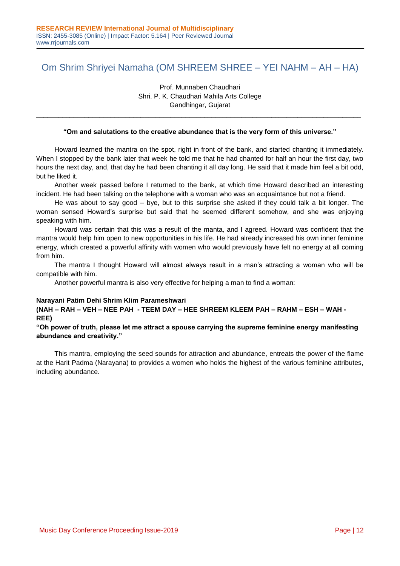# Om Shrim Shriyei Namaha (OM SHREEM SHREE – YEI NAHM – AH – HA)

Prof. Munnaben Chaudhari Shri. P. K. Chaudhari Mahila Arts College Gandhingar, Gujarat

\_\_\_\_\_\_\_\_\_\_\_\_\_\_\_\_\_\_\_\_\_\_\_\_\_\_\_\_\_\_\_\_\_\_\_\_\_\_\_\_\_\_\_\_\_\_\_\_\_\_\_\_\_\_\_\_\_\_\_\_\_\_\_\_\_\_\_\_\_\_\_\_\_\_\_\_\_\_\_\_\_\_\_\_\_\_\_

#### **"Om and salutations to the creative abundance that is the very form of this universe."**

Howard learned the mantra on the spot, right in front of the bank, and started chanting it immediately. When I stopped by the bank later that week he told me that he had chanted for half an hour the first day, two hours the next day, and, that day he had been chanting it all day long. He said that it made him feel a bit odd, but he liked it.

Another week passed before I returned to the bank, at which time Howard described an interesting incident. He had been talking on the telephone with a woman who was an acquaintance but not a friend.

He was about to say good – bye, but to this surprise she asked if they could talk a bit longer. The woman sensed Howard"s surprise but said that he seemed different somehow, and she was enjoying speaking with him.

Howard was certain that this was a result of the manta, and I agreed. Howard was confident that the mantra would help him open to new opportunities in his life. He had already increased his own inner feminine energy, which created a powerful affinity with women who would previously have felt no energy at all coming from him.

The mantra I thought Howard will almost always result in a man"s attracting a woman who will be compatible with him.

Another powerful mantra is also very effective for helping a man to find a woman:

#### **Narayani Patim Dehi Shrim Klim Parameshwari**

**(NAH – RAH – VEH – NEE PAH - TEEM DAY – HEE SHREEM KLEEM PAH – RAHM – ESH – WAH - REE)**

**"Oh power of truth, please let me attract a spouse carrying the supreme feminine energy manifesting abundance and creativity."**

This mantra, employing the seed sounds for attraction and abundance, entreats the power of the flame at the Harit Padma (Narayana) to provides a women who holds the highest of the various feminine attributes, including abundance.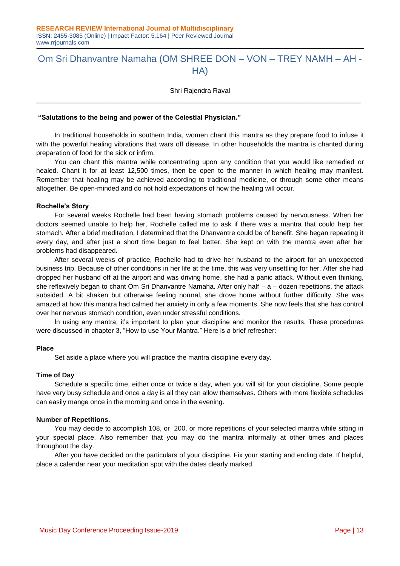# Om Sri Dhanvantre Namaha (OM SHREE DON – VON – TREY NAMH – AH - HA)

Shri Rajendra Raval \_\_\_\_\_\_\_\_\_\_\_\_\_\_\_\_\_\_\_\_\_\_\_\_\_\_\_\_\_\_\_\_\_\_\_\_\_\_\_\_\_\_\_\_\_\_\_\_\_\_\_\_\_\_\_\_\_\_\_\_\_\_\_\_\_\_\_\_\_\_\_\_\_\_\_\_\_\_\_\_\_\_\_\_\_\_\_

#### **"Salutations to the being and power of the Celestial Physician."**

In traditional households in southern India, women chant this mantra as they prepare food to infuse it with the powerful healing vibrations that wars off disease. In other households the mantra is chanted during preparation of food for the sick or infirm.

You can chant this mantra while concentrating upon any condition that you would like remedied or healed. Chant it for at least 12,500 times, then be open to the manner in which healing may manifest. Remember that healing may be achieved according to traditional medicine, or through some other means altogether. Be open-minded and do not hold expectations of how the healing will occur.

#### **Rochelle's Story**

For several weeks Rochelle had been having stomach problems caused by nervousness. When her doctors seemed unable to help her, Rochelle called me to ask if there was a mantra that could help her stomach. After a brief meditation, I determined that the Dhanvantre could be of benefit. She began repeating it every day, and after just a short time began to feel better. She kept on with the mantra even after her problems had disappeared.

After several weeks of practice, Rochelle had to drive her husband to the airport for an unexpected business trip. Because of other conditions in her life at the time, this was very unsettling for her. After she had dropped her husband off at the airport and was driving home, she had a panic attack. Without even thinking, she reflexively began to chant Om Sri Dhanvantre Namaha. After only half – a – dozen repetitions, the attack subsided. A bit shaken but otherwise feeling normal, she drove home without further difficulty. She was amazed at how this mantra had calmed her anxiety in only a few moments. She now feels that she has control over her nervous stomach condition, even under stressful conditions.

In using any mantra, it's important to plan your discipline and monitor the results. These procedures were discussed in chapter 3, "How to use Your Mantra." Here is a brief refresher:

#### **Place**

Set aside a place where you will practice the mantra discipline every day.

#### **Time of Day**

Schedule a specific time, either once or twice a day, when you will sit for your discipline. Some people have very busy schedule and once a day is all they can allow themselves. Others with more flexible schedules can easily mange once in the morning and once in the evening.

#### **Number of Repetitions.**

You may decide to accomplish 108, or 200, or more repetitions of your selected mantra while sitting in your special place. Also remember that you may do the mantra informally at other times and places throughout the day.

After you have decided on the particulars of your discipline. Fix your starting and ending date. If helpful, place a calendar near your meditation spot with the dates clearly marked.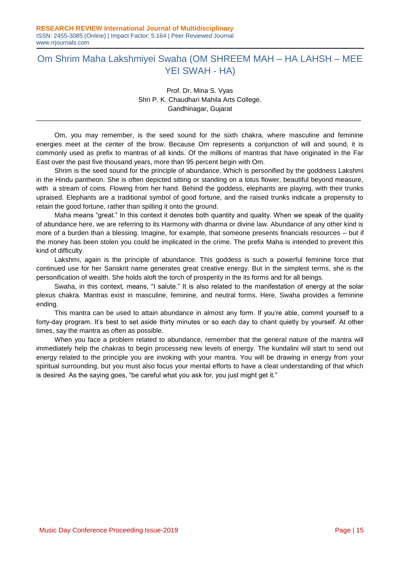# Om Shrim Maha Lakshmiyei Swaha (OM SHREEM MAH – HA LAHSH – MEE YEI SWAH - HA)

Prof. Dr. Mina S. Vyas Shri P. K. Chaudhari Mahila Arts College. Gandhinagar, Gujarat

\_\_\_\_\_\_\_\_\_\_\_\_\_\_\_\_\_\_\_\_\_\_\_\_\_\_\_\_\_\_\_\_\_\_\_\_\_\_\_\_\_\_\_\_\_\_\_\_\_\_\_\_\_\_\_\_\_\_\_\_\_\_\_\_\_\_\_\_\_\_\_\_\_\_\_\_\_\_\_\_\_\_\_\_\_\_\_

Om, you may remember, is the seed sound for the sixth chakra, where masculine and feminine energies meet at the center of the brow. Because Om represents a conjunction of will and sound, it is commonly used as prefix to mantras of all kinds. Of the millions of mantras that have originated in the Far East over the past five thousand years, more than 95 percent begin with Om.

Shrim is the seed sound for the principle of abundance. Which is personified by the goddness Lakshmi in the Hindu pantheon. She is often depicted sitting or standing on a lotus flower, beautiful beyond measure, with a stream of coins. Flowing from her hand. Behind the goddess, elephants are playing, with their trunks upraised. Elephants are a traditional symbol of good fortune, and the raised trunks indicate a propensity to retain the good fortune, rather than spilling it onto the ground.

Maha means "great." In this context it denotes both quantity and quality. When we speak of the quality of abundance here, we are referring to its Harmony with dharma or divine law. Abundance of any other kind is more of a burden than a blessing. Imagine, for example, that someone presents financials resources – but if the money has been stolen you could be implicated in the crime. The prefix Maha is intended to prevent this kind of difficulty.

Lakshmi, again is the principle of abundance. This goddess is such a powerful feminine force that continued use for her Sanskrit name generates great creative energy. But in the simplest terms, she is the personification of wealth. She holds aloft the torch of prosperity in the its forms and for all beings.

Swaha, in this context, means, "I salute." It is also related to the manifestation of energy at the solar plexus chakra. Mantras exist in masculine, feminine, and neutral forms. Here, Swaha provides a feminine ending.

This mantra can be used to attain abundance in almost any form. If you"re able, commit yourself to a forty-day program. It's best to set aside thirty minutes or so each day to chant quietly by yourself. At other times, say the mantra as often as possible.

When you face a problem related to abundance, remember that the general nature of the mantra will immediately help the chakras to begin processing new levels of energy. The kundalini will start to send out energy related to the principle you are invoking with your mantra. You will be drawing in energy from your spiritual surrounding, but you must also focus your mental efforts to have a cleat understanding of that which is desired. As the saying goes, "be careful what you ask for, you just might get it."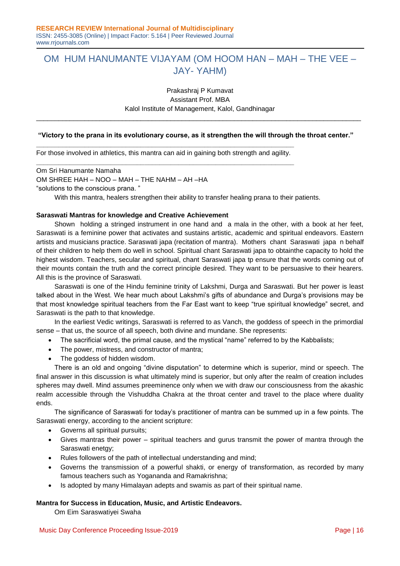# OM HUM HANUMANTE VIJAYAM (OM HOOM HAN – MAH – THE VEE – JAY- YAHM)

Prakashraj P Kumavat Assistant Prof. MBA Kalol Institute of Management, Kalol, Gandhinagar

\_\_\_\_\_\_\_\_\_\_\_\_\_\_\_\_\_\_\_\_\_\_\_\_\_\_\_\_\_\_\_\_\_\_\_\_\_\_\_\_\_\_\_\_\_\_\_\_\_\_\_\_\_\_\_\_\_\_\_\_\_\_\_\_\_\_\_\_\_\_\_\_\_\_\_\_\_\_\_\_\_\_\_\_\_\_\_

#### **"Victory to the prana in its evolutionary course, as it strengthen the will through the throat center."**

**\_\_\_\_\_\_\_\_\_\_\_\_\_\_\_\_\_\_\_\_\_\_\_\_\_\_\_\_\_\_\_\_\_\_\_\_\_\_\_\_\_\_\_\_\_\_\_\_\_\_\_\_\_\_\_\_\_\_\_\_\_\_\_\_\_\_\_\_\_** For those involved in athletics, this mantra can aid in gaining both strength and agility. **\_\_\_\_\_\_\_\_\_\_\_\_\_\_\_\_\_\_\_\_\_\_\_\_\_\_\_\_\_\_\_\_\_\_\_\_\_\_\_\_\_\_\_\_\_\_\_\_\_\_\_\_\_\_\_\_\_\_\_\_\_\_\_\_\_\_\_\_\_**

Om Sri Hanumante Namaha OM SHREE HAH – NOO – MAH – THE NAHM – AH –HA "solutions to the conscious prana. "

With this mantra, healers strengthen their ability to transfer healing prana to their patients.

#### **Saraswati Mantras for knowledge and Creative Achievement**

Shown holding a stringed instrument in one hand and a mala in the other, with a book at her feet, Saraswati is a feminine power that activates and sustains artistic, academic and spiritual endeavors. Eastern artists and musicians practice. Saraswati japa (recitation of mantra). Mothers chant Saraswati japa n behalf of their children to help them do well in school. Spiritual chant Saraswati japa to obtainthe capacity to hold the highest wisdom. Teachers, secular and spiritual, chant Saraswati japa tp ensure that the words coming out of their mounts contain the truth and the correct principle desired. They want to be persuasive to their hearers. All this is the province of Saraswati.

Saraswati is one of the Hindu feminine trinity of Lakshmi, Durga and Saraswati. But her power is least talked about in the West. We hear much about Lakshmi"s gifts of abundance and Durga"s provisions may be that most knowledge spiritual teachers from the Far East want to keep "true spiritual knowledge" secret, and Saraswati is the path to that knowledge.

In the earliest Vedic writings, Saraswati is referred to as Vanch, the goddess of speech in the primordial sense – that us, the source of all speech, both divine and mundane. She represents:

- The sacrificial word, the primal cause, and the mystical "name" referred to by the Kabbalists;
- The power, mistress, and constructor of mantra;
- The goddess of hidden wisdom.

There is an old and ongoing "divine disputation" to determine which is superior, mind or speech. The final answer in this discussion is what ultimately mind is superior, but only after the realm of creation includes spheres may dwell. Mind assumes preeminence only when we with draw our consciousness from the akashic realm accessible through the Vishuddha Chakra at the throat center and travel to the place where duality ends.

The significance of Saraswati for today"s practitioner of mantra can be summed up in a few points. The Saraswati energy, according to the ancient scripture:

- Governs all spiritual pursuits;
- Gives mantras their power spiritual teachers and gurus transmit the power of mantra through the Saraswati enetgy;
- Rules followers of the path of intellectual understanding and mind;
- Governs the transmission of a powerful shakti, or energy of transformation, as recorded by many famous teachers such as Yogananda and Ramakrishna;
- Is adopted by many Himalayan adepts and swamis as part of their spiritual name.

#### **Mantra for Success in Education, Music, and Artistic Endeavors.**

Om Eim Saraswatiyei Swaha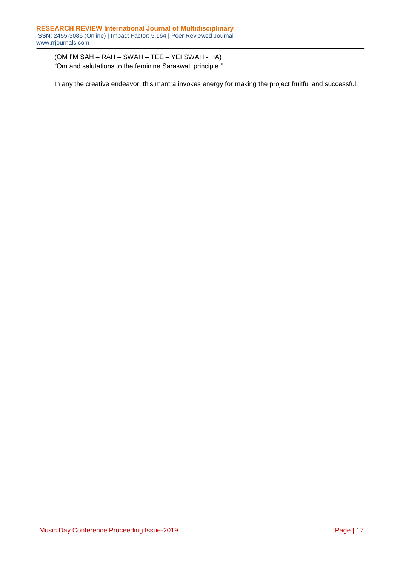(OM I"M SAH – RAH – SWAH – TEE – YEI SWAH - HA) "Om and salutations to the feminine Saraswati principle."

In any the creative endeavor, this mantra invokes energy for making the project fruitful and successful.

\_\_\_\_\_\_\_\_\_\_\_\_\_\_\_\_\_\_\_\_\_\_\_\_\_\_\_\_\_\_\_\_\_\_\_\_\_\_\_\_\_\_\_\_\_\_\_\_\_\_\_\_\_\_\_\_\_\_\_\_\_\_\_\_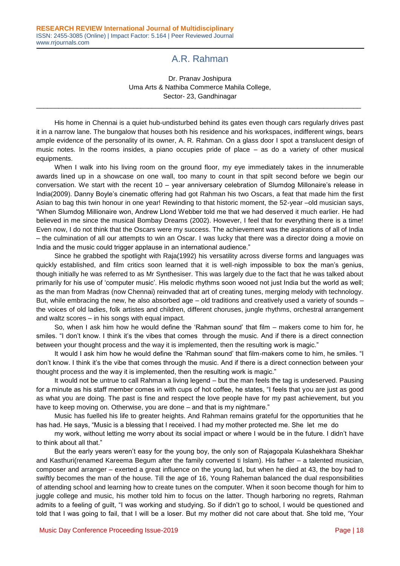# A.R. Rahman

Dr. Pranav Joshipura Uma Arts & Nathiba Commerce Mahila College, Sector- 23, Gandhinagar

\_\_\_\_\_\_\_\_\_\_\_\_\_\_\_\_\_\_\_\_\_\_\_\_\_\_\_\_\_\_\_\_\_\_\_\_\_\_\_\_\_\_\_\_\_\_\_\_\_\_\_\_\_\_\_\_\_\_\_\_\_\_\_\_\_\_\_\_\_\_\_\_\_\_\_\_\_\_\_\_\_\_\_\_\_\_\_

His home in Chennai is a quiet hub-undisturbed behind its gates even though cars regularly drives past it in a narrow lane. The bungalow that houses both his residence and his workspaces, indifferent wings, bears ample evidence of the personality of its owner, A. R. Rahman. On a glass door I spot a translucent design of music notes. In the rooms insides, a piano occupies pride of place – as do a variety of other musical equipments.

When I walk into his living room on the ground floor, my eye immediately takes in the innumerable awards lined up in a showcase on one wall, too many to count in that spilt second before we begin our conversation. We start with the recent 10 – year anniversary celebration of Slumdog Millonaire"s release in India(2009). Danny Boyle"s cinematic offering had got Rahman his two Oscars, a feat that made him the first Asian to bag this twin honour in one year! Rewinding to that historic moment, the 52-year –old musician says, "When Slumdog Millionaire won, Andrew Llond Webber told me that we had deserved it much earlier. He had believed in me since the musical Bombay Dreams (2002). However, I feel that for everything there is a time! Even now, I do not think that the Oscars were my success. The achievement was the aspirations of all of India – the culmination of all our attempts to win an Oscar. I was lucky that there was a director doing a movie on India and the music could trigger applause in an international audience."

Since he grabbed the spotlight with Raja(1992) his versatility across diverse forms and languages was quickly established, and film critics soon learned that it is well-nigh impossible to box the man"s genius, though initially he was referred to as Mr Synthesiser. This was largely due to the fact that he was talked about primarily for his use of 'computer music'. His melodic rhythms soon wooed not just India but the world as well; as the man from Madras (now Chennai) reinvaded that art of creating tunes, merging melody with technology. But, while embracing the new, he also absorbed age – old traditions and creatively used a variety of sounds – the voices of old ladies, folk artistes and children, different choruses, jungle rhythms, orchestral arrangement and waltz scores – in his songs with equal impact.

So, when I ask him how he would define the "Rahman sound" that film – makers come to him for, he smiles. "I don't know. I think it's the vibes that comes through the music. And if there is a direct connection between your thought process and the way it is implemented, then the resulting work is magic."

It would I ask him how he would define the "Rahman sound" that film-makers come to him, he smiles. "I don't know. I think it's the vibe that comes through the music. And if there is a direct connection between your thought process and the way it is implemented, then the resulting work is magic."

It would not be untrue to call Rahman a living legend – but the man feels the tag is undeserved. Pausing for a minute as his staff member comes in with cups of hot coffee, he states, "I feels that you are just as good as what you are doing. The past is fine and respect the love people have for my past achievement, but you have to keep moving on. Otherwise, you are done – and that is my nightmare."

Music has fuelled his life to greater heights. And Rahman remains grateful for the opportunities that he has had. He says, "Music is a blessing that I received. I had my mother protected me. She let me do

my work, without letting me worry about its social impact or where I would be in the future. I didn"t have to think about all that."

But the early years weren"t easy for the young boy, the only son of Rajagopala Kulashekhara Shekhar and Kasthuri(renamed Kareema Begum after the family converted ti Islam). His father – a talented musician, composer and arranger – exerted a great influence on the young lad, but when he died at 43, the boy had to swiftly becomes the man of the house. Till the age of 16, Young Raheman balanced the dual responsibilities of attending school and learning how to create tunes on the computer. When it soon become though for him to juggle college and music, his mother told him to focus on the latter. Though harboring no regrets, Rahman admits to a feeling of guilt, "I was working and studying. So if didn"t go to school, I would be questioned and told that I was going to fail, that I will be a loser. But my mother did not care about that. She told me, "Your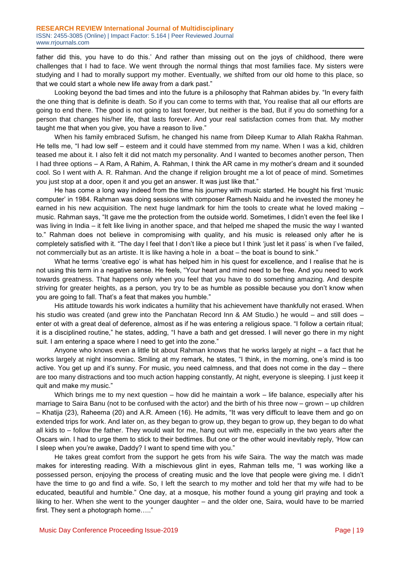father did this, you have to do this.' And rather than missing out on the joys of childhood, there were challenges that I had to face. We went through the normal things that most families face. My sisters were studying and I had to morally support my mother. Eventually, we shifted from our old home to this place, so that we could start a whole new life away from a dark past."

Looking beyond the bad times and into the future is a philosophy that Rahman abides by. "In every faith the one thing that is definite is death. So if you can come to terms with that, You realise that all our efforts are going to end there. The good is not going to last forever, but neither is the bad, But if you do something for a person that changes his/her life, that lasts forever. And your real satisfaction comes from that. My mother taught me that when you give, you have a reason to live."

When his family embraced Sufism, he changed his name from Dileep Kumar to Allah Rakha Rahman. He tells me, "I had low self – esteem and it could have stemmed from my name. When I was a kid, children teased me about it. I also felt it did not match my personality. And I wanted to becomes another person, Then I had three options – A Ram, A Rahim, A. Rahman, I think the AR came in my mother"s dream and it sounded cool. So I went with A. R. Rahman. And the change if religion brought me a lot of peace of mind. Sometimes you just stop at a door, open it and you get an answer. It was just like that."

He has come a long way indeed from the time his journey with music started. He bought his first "music computer" in 1984. Rahman was doing sessions with composer Ramesh Naidu and he invested the money he earned in his new acquisition. The next huge landmark for him the tools to create what he loved making – music. Rahman says, "It gave me the protection from the outside world. Sometimes, I didn"t even the feel like I was living in India – it felt like living in another space, and that helped me shaped the music the way I wanted to." Rahman does not believe in compromising with quality, and his music is released only after he is completely satisfied with it. "The day I feel that I don"t like a piece but I think "just let it pass" is when I"ve failed, not commercially but as an artiste. It is like having a hole in a boat – the boat is bound to sink."

What he terms 'creative ego' is what has helped him in his quest for excellence, and I realise that he is not using this term in a negative sense. He feels, "Your heart and mind need to be free. And you need to work towards greatness. That happens only when you feel that you have to do something amazing. And despite striving for greater heights, as a person, you try to be as humble as possible because you don"t know when you are going to fall. That"s a feat that makes you humble."

His attitude towards his work indicates a humility that his achievement have thankfully not erased. When his studio was created (and grew into the Panchatan Record Inn & AM Studio.) he would – and still does – enter ot with a great deal of deference, almost as if he was entering a religious space. "I follow a certain ritual; it is a disciplined routine," he states, adding, "I have a bath and get dressed. I will never go there in my night suit. I am entering a space where I need to get into the zone."

Anyone who knows even a little bit about Rahman knows that he works largely at night – a fact that he works largely at night insomniac. Smiling at my remark, he states, "I think, in the morning, one"s mind is too active. You get up and it's sunny. For music, you need calmness, and that does not come in the day – there are too many distractions and too much action happing constantly, At night, everyone is sleeping. I just keep it quit and make my music."

Which brings me to my next question – how did he maintain a work – life balance, especially after his marriage to Saira Banu (not to be confused with the actor) and the birth of his three now – grown – up children – Khatija (23), Raheema (20) and A.R. Ameen (16). He admits, "It was very difficult to leave them and go on extended trips for work. And later on, as they began to grow up, they began to grow up, they began to do what all kids to – follow the father. They would wait for me, hang out with me, especially in the two years after the Oscars win. I had to urge them to stick to their bedtimes. But one or the other would inevitably reply, "How can I sleep when you"re awake, Daddy? I want to spend time with you."

He takes great comfort from the support he gets from his wife Saira. The way the match was made makes for interesting reading. With a mischievous glint in eyes, Rahman tells me, "I was working like a possessed person, enjoying the process of creating music and the love that people were giving me. I didn"t have the time to go and find a wife. So, I left the search to my mother and told her that my wife had to be educated, beautiful and humble." One day, at a mosque, his mother found a young girl praying and took a liking to her. When she went to the younger daughter – and the older one, Saira, would have to be married first. They sent a photograph home….."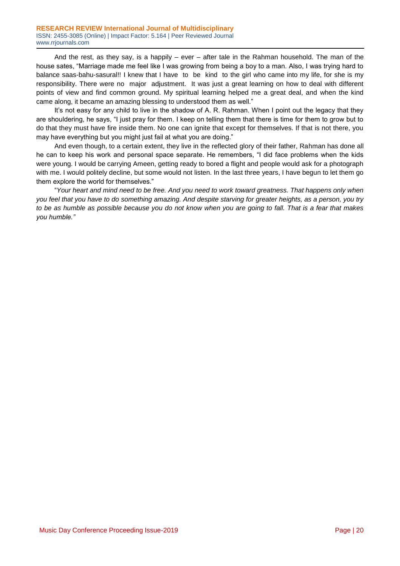And the rest, as they say, is a happily – ever – after tale in the Rahman household. The man of the house sates, "Marriage made me feel like I was growing from being a boy to a man. Also, I was trying hard to balance saas-bahu-sasural!! I knew that I have to be kind to the girl who came into my life, for she is my responsibility. There were no major adjustment. It was just a great learning on how to deal with different points of view and find common ground. My spiritual learning helped me a great deal, and when the kind came along, it became an amazing blessing to understood them as well."

It's not easy for any child to live in the shadow of A. R. Rahman. When I point out the legacy that they are shouldering, he says, "I just pray for them. I keep on telling them that there is time for them to grow but to do that they must have fire inside them. No one can ignite that except for themselves. If that is not there, you may have everything but you might just fail at what you are doing."

And even though, to a certain extent, they live in the reflected glory of their father, Rahman has done all he can to keep his work and personal space separate. He remembers, "I did face problems when the kids were young. I would be carrying Ameen, getting ready to bored a flight and people would ask for a photograph with me. I would politely decline, but some would not listen. In the last three years, I have begun to let them go them explore the world for themselves."

"*Your heart and mind need to be free. And you need to work toward greatness. That happens only when you feel that you have to do something amazing. And despite starving for greater heights, as a person, you try to be as humble as possible because you do not know when you are going to fall. That is a fear that makes you humble."*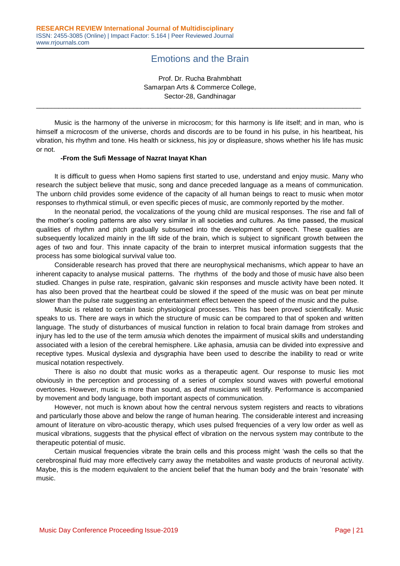### Emotions and the Brain

Prof. Dr. Rucha Brahmbhatt Samarpan Arts & Commerce College, Sector-28, Gandhinagar

\_\_\_\_\_\_\_\_\_\_\_\_\_\_\_\_\_\_\_\_\_\_\_\_\_\_\_\_\_\_\_\_\_\_\_\_\_\_\_\_\_\_\_\_\_\_\_\_\_\_\_\_\_\_\_\_\_\_\_\_\_\_\_\_\_\_\_\_\_\_\_\_\_\_\_\_\_\_\_\_\_\_\_\_\_\_\_

Music is the harmony of the universe in microcosm; for this harmony is life itself; and in man, who is himself a microcosm of the universe, chords and discords are to be found in his pulse, in his heartbeat, his vibration, his rhythm and tone. His health or sickness, his joy or displeasure, shows whether his life has music or not.

#### **-From the Sufi Message of Nazrat Inayat Khan**

It is difficult to guess when Homo sapiens first started to use, understand and enjoy music. Many who research the subject believe that music, song and dance preceded language as a means of communication. The unborn child provides some evidence of the capacity of all human beings to react to music when motor responses to rhythmical stimuli, or even specific pieces of music, are commonly reported by the mother.

In the neonatal period, the vocalizations of the young child are musical responses. The rise and fall of the mother"s cooling patterns are also very similar in all societies and cultures. As time passed, the musical qualities of rhythm and pitch gradually subsumed into the development of speech. These qualities are subsequently localized mainly in the lift side of the brain, which is subject to significant growth between the ages of two and four. This innate capacity of the brain to interpret musical information suggests that the process has some biological survival value too.

Considerable research has proved that there are neurophysical mechanisms, which appear to have an inherent capacity to analyse musical patterns. The rhythms of the body and those of music have also been studied. Changes in pulse rate, respiration, galvanic skin responses and muscle activity have been noted. It has also been proved that the heartbeat could be slowed if the speed of the music was on beat per minute slower than the pulse rate suggesting an entertainment effect between the speed of the music and the pulse.

Music is related to certain basic physiological processes. This has been proved scientifically. Music speaks to us. There are ways in which the structure of music can be compared to that of spoken and written language. The study of disturbances of musical function in relation to focal brain damage from strokes and injury has led to the use of the term *amusia* which denotes the impairment of musical skills and understanding associated with a lesion of the cerebral hemisphere. Like aphasia, amusia can be divided into expressive and receptive types. Musical dyslexia and dysgraphia have been used to describe the inability to read or write musical notation respectively.

There is also no doubt that music works as a therapeutic agent. Our response to music lies mot obviously in the perception and processing of a series of complex sound waves with powerful emotional overtones. However, music is more than sound, as deaf musicians will testify. Performance is accompanied by movement and body language, both important aspects of communication.

However, not much is known about how the central nervous system registers and reacts to vibrations and particularly those above and below the range of human hearing. The considerable interest and increasing amount of literature on vibro-acoustic therapy, which uses pulsed frequencies of a very low order as well as musical vibrations, suggests that the physical effect of vibration on the nervous system may contribute to the therapeutic potential of music.

Certain musical frequencies vibrate the brain cells and this process might "wash the cells so that the cerebrospinal fluid may more effectively carry away the metabolites and waste products of neuronal activity. Maybe, this is the modern equivalent to the ancient belief that the human body and the brain "resonate" with music.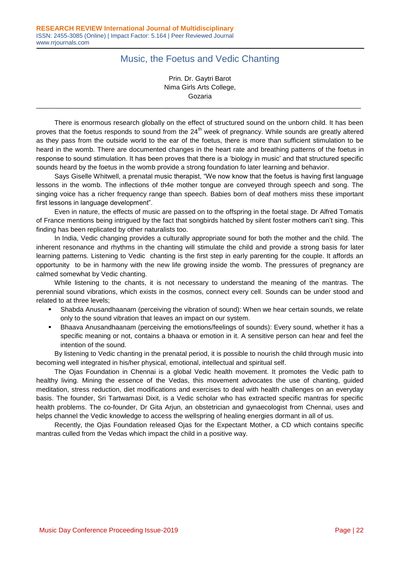### Music, the Foetus and Vedic Chanting

Prin. Dr. Gaytri Barot Nima Girls Arts College, Gozaria

\_\_\_\_\_\_\_\_\_\_\_\_\_\_\_\_\_\_\_\_\_\_\_\_\_\_\_\_\_\_\_\_\_\_\_\_\_\_\_\_\_\_\_\_\_\_\_\_\_\_\_\_\_\_\_\_\_\_\_\_\_\_\_\_\_\_\_\_\_\_\_\_\_\_\_\_\_\_\_\_\_\_\_\_\_\_\_

There is enormous research globally on the effect of structured sound on the unborn child. It has been proves that the foetus responds to sound from the 24<sup>th</sup> week of pregnancy. While sounds are greatly altered as they pass from the outside world to the ear of the foetus, there is more than sufficient stimulation to be heard in the womb. There are documented changes in the heart rate and breathing patterns of the foetus in response to sound stimulation. It has been proves that there is a "biology in music" and that structured specific sounds heard by the foetus in the womb provide a strong foundation fo later learning and behavior.

Says Giselle Whitwell, a prenatal music therapist, "We now know that the foetus is having first language lessons in the womb. The inflections of th4e mother tongue are conveyed through speech and song. The singing voice has a richer frequency range than speech. Babies born of deaf mothers miss these important first lessons in language development".

Even in nature, the effects of music are passed on to the offspring in the foetal stage. Dr Alfred Tomatis of France mentions being intrigued by the fact that songbirds hatched by silent foster mothers can"t sing. This finding has been replicated by other naturalists too.

In India, Vedic changing provides a culturally appropriate sound for both the mother and the child. The inherent resonance and rhythms in the chanting will stimulate the child and provide a strong basis for later learning patterns. Listening to Vedic chanting is the first step in early parenting for the couple. It affords an opportunity to be in harmony with the new life growing inside the womb. The pressures of pregnancy are calmed somewhat by Vedic chanting.

While listening to the chants, it is not necessary to understand the meaning of the mantras. The perennial sound vibrations, which exists in the cosmos, connect every cell. Sounds can be under stood and related to at three levels;

- Shabda Anusandhaanam (perceiving the vibration of sound): When we hear certain sounds, we relate only to the sound vibration that leaves an impact on our system.
- Bhaava Anusandhaanam (perceiving the emotions/feelings of sounds): Every sound, whether it has a specific meaning or not, contains a bhaava or emotion in it. A sensitive person can hear and feel the intention of the sound.

By listening to Vedic chanting in the prenatal period, it is possible to nourish the child through music into becoming well integrated in his/her physical, emotional, intellectual and spiritual self.

The Ojas Foundation in Chennai is a global Vedic health movement. It promotes the Vedic path to healthy living. Mining the essence of the Vedas, this movement advocates the use of chanting, guided meditation, stress reduction, diet modifications and exercises to deal with health challenges on an everyday basis. The founder, Sri Tartwamasi Dixit, is a Vedic scholar who has extracted specific mantras for specific health problems. The co-founder, Dr Gita Arjun, an obstetrician and gynaecologist from Chennai, uses and helps channel the Vedic knowledge to access the wellspring of healing energies dormant in all of us.

Recently, the Ojas Foundation released Ojas for the Expectant Mother, a CD which contains specific mantras culled from the Vedas which impact the child in a positive way.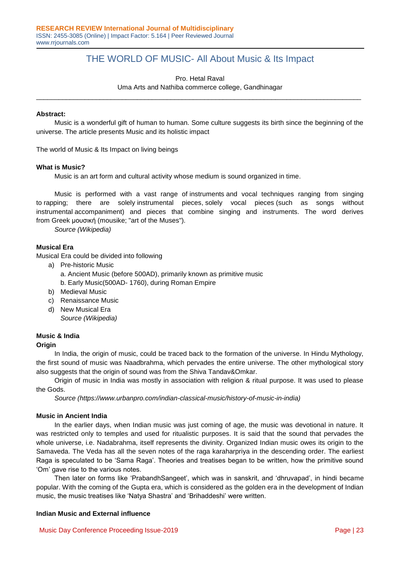# THE WORLD OF MUSIC- All About Music & Its Impact

Pro. Hetal Raval

Uma Arts and Nathiba commerce college, Gandhinagar \_\_\_\_\_\_\_\_\_\_\_\_\_\_\_\_\_\_\_\_\_\_\_\_\_\_\_\_\_\_\_\_\_\_\_\_\_\_\_\_\_\_\_\_\_\_\_\_\_\_\_\_\_\_\_\_\_\_\_\_\_\_\_\_\_\_\_\_\_\_\_\_\_\_\_\_\_\_\_\_\_\_\_\_\_\_\_

#### **Abstract:**

Music is a wonderful gift of human to human. Some culture suggests its birth since the beginning of the universe. The article presents Music and its holistic impact

The world of Music & Its Impact on living beings

#### **What is Music?**

Music is an art form and cultural activity whose medium is sound organized in time.

Music is performed with a vast range of instruments and vocal techniques ranging from singing to rapping; there are solely instrumental pieces, solely vocal pieces (such as songs without instrumental accompaniment) and pieces that combine singing and instruments. The word derives from Greek μουσική (mousike; "art of the Muses").

*Source (Wikipedia)*

#### **Musical Era**

Musical Era could be divided into following

- a) Pre-historic Music a. Ancient Music (before 500AD), primarily known as primitive music b. Early Music(500AD- 1760), during Roman Empire
- b) Medieval Music
- c) Renaissance Music
- d) New Musical Era *Source (Wikipedia)*

# **Music & India**

#### **Origin**

In India, the origin of music, could be traced back to the formation of the universe. In Hindu Mythology, the first sound of music was Naadbrahma, which pervades the entire universe. The other mythological story also suggests that the origin of sound was from the Shiva Tandav&Omkar.

Origin of music in India was mostly in association with religion & ritual purpose. It was used to please the Gods.

*Source (https://www.urbanpro.com/indian-classical-music/history-of-music-in-india)*

#### **Music in Ancient India**

In the earlier days, when Indian music was just coming of age, the music was devotional in nature. It was restricted only to temples and used for ritualistic purposes. It is said that the sound that pervades the whole universe, i.e. Nadabrahma, itself represents the divinity. Organized Indian music owes its origin to the Samaveda. The Veda has all the seven notes of the raga karaharpriya in the descending order. The earliest Raga is speculated to be "Sama Raga". Theories and treatises began to be written, how the primitive sound "Om" gave rise to the various notes.

Then later on forms like "PrabandhSangeet", which was in sanskrit, and "dhruvapad", in hindi became popular. With the coming of the Gupta era, which is considered as the golden era in the development of Indian music, the music treatises like "Natya Shastra" and "Brihaddeshi" were written.

#### **Indian Music and External influence**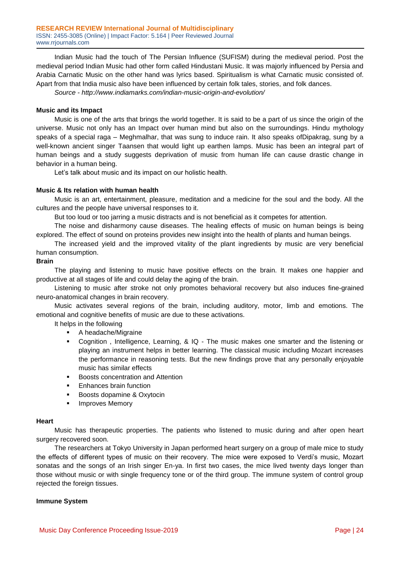Indian Music had the touch of The Persian Influence (SUFISM) during the medieval period. Post the medieval period Indian Music had other form called Hindustani Music. It was majorly influenced by Persia and Arabia Carnatic Music on the other hand was lyrics based. Spiritualism is what Carnatic music consisted of. Apart from that India music also have been influenced by certain folk tales, stories, and folk dances.

*Source - http://www.indiamarks.com/indian-music-origin-and-evolution/*

#### **Music and its Impact**

Music is one of the arts that brings the world together. It is said to be a part of us since the origin of the universe. Music not only has an Impact over human mind but also on the surroundings. Hindu mythology speaks of a special raga – Meghmalhar, that was sung to induce rain. It also speaks ofDipakrag, sung by a well-known ancient singer Taansen that would light up earthen lamps. Music has been an integral part of human beings and a study suggests deprivation of music from human life can cause drastic change in behavior in a human being.

Let's talk about music and its impact on our holistic health.

#### **Music & Its relation with human health**

Music is an art, entertainment, pleasure, meditation and a medicine for the soul and the body. All the cultures and the people have universal responses to it.

But too loud or too jarring a music distracts and is not beneficial as it competes for attention.

The noise and disharmony cause diseases. The healing effects of music on human beings is being explored. The effect of sound on proteins provides new insight into the health of plants and human beings.

The increased yield and the improved vitality of the plant ingredients by music are very beneficial human consumption.

#### **Brain**

The playing and listening to music have positive effects on the brain. It makes one happier and productive at all stages of life and could delay the aging of the brain.

Listening to music after stroke not only promotes behavioral recovery but also induces fine-grained neuro-anatomical changes in brain recovery.

Music activates several regions of the brain, including auditory, motor, limb and emotions. The emotional and cognitive benefits of music are due to these activations.

It helps in the following

- A headache/Migraine
- Cognition , Intelligence, Learning, & IQ The music makes one smarter and the listening or playing an instrument helps in better learning. The classical music including Mozart increases the performance in reasoning tests. But the new findings prove that any personally enjoyable music has similar effects
- Boosts concentration and Attention
- Enhances brain function
- Boosts dopamine & Oxytocin
- **Improves Memory**

#### **Heart**

Music has therapeutic properties. The patients who listened to music during and after open heart surgery recovered soon.

The researchers at Tokyo University in Japan performed heart surgery on a group of male mice to study the effects of different types of music on their recovery. The mice were exposed to Verdi"s music, Mozart sonatas and the songs of an Irish singer En-ya. In first two cases, the mice lived twenty days longer than those without music or with single frequency tone or of the third group. The immune system of control group rejected the foreign tissues.

#### **Immune System**